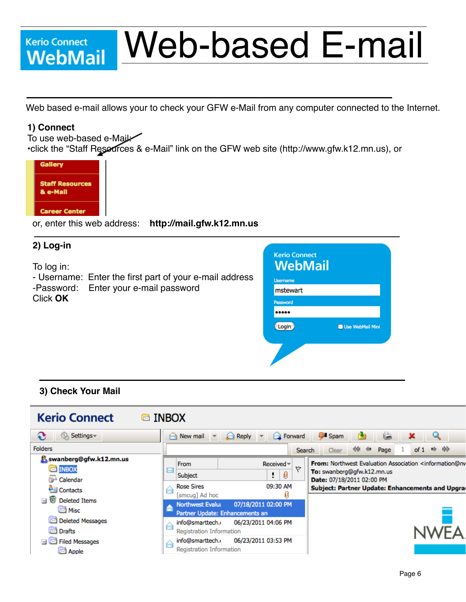# **Kerio Connect** Kerio Connect<br>**WebMail**

# Web-based E-mail

Web based e-mail allows your to check your GFW e-Mail from any computer connected to the Internet.

#### **1) Connect**

To use web-based e-Mail: •click the "Staff Resources & e-Mail" link on the GFW web site (http://www.gfw.k12.mn.us), or



or, enter this web address: **http://mail.gfw.k12.mn.us** 

## **2) Log-in**

To log in:

- Username: Enter the first part of your e-mail address -Password: Enter your e-mail password Click **OK**

| <b>Kerio Connect</b><br><b>WebMail</b> |                         |
|----------------------------------------|-------------------------|
| <b>Username</b>                        |                         |
| mstewart                               |                         |
| Password                               |                         |
|                                        |                         |
| Login                                  | <b>Use WebMail Mini</b> |
|                                        |                         |

### **3) Check Your Mail**

| <b>Kerio Connect</b>                                                                                         | <b>B</b> INBOX                                                                                                                                                                                                                                                                                                                                                                      |     |
|--------------------------------------------------------------------------------------------------------------|-------------------------------------------------------------------------------------------------------------------------------------------------------------------------------------------------------------------------------------------------------------------------------------------------------------------------------------------------------------------------------------|-----|
| Settings-<br>€<br>50.5                                                                                       | <b>Spam</b><br>Rew mail<br><b>Pa</b> Forward<br>Reply                                                                                                                                                                                                                                                                                                                               |     |
| <b>Folders</b>                                                                                               | ⇒.<br>≪<br>48<br>Page<br>of 1<br><b>Search</b><br>Clear                                                                                                                                                                                                                                                                                                                             | -bb |
| swanberg@gfw.k12.mn.us<br><b>ES INBOX</b><br>Calendar<br><b>DEI</b> Contacts<br><b>Deleted Items</b><br>Misc | From: Northwest Evaluation Association <information@nv<br><math>Received =</math><br/>From<br/>Y<br/>罓<br/>To: swanberg@gfw.k12.mn.us<br/>0<br/>Subject<br/>Date: 07/18/2011 02:00 PM<br/>09:30 AM<br/><b>Rose Sires</b><br/>Subject: Partner Update: Enhancements and Upgra<br/>⊶<br/>U<br/>[smcuq] Ad hoc<br/>07/18/2011 02:00 PM<br/><b>Northwest Evalua</b></information@nv<br> |     |
| <b>Deleted Messages</b><br><b>ISK</b><br>罓<br>Drafts<br>Filed Messages<br>⊠ Apple                            | Partner Update: Enhancements an<br>06/23/2011 04:06 PM<br>info@smarttech.o<br>⊷<br><b>Registration Information</b><br>06/23/2011 03:53 PM<br>info@smarttech.o<br>⊷<br><b>Registration Information</b>                                                                                                                                                                               |     |